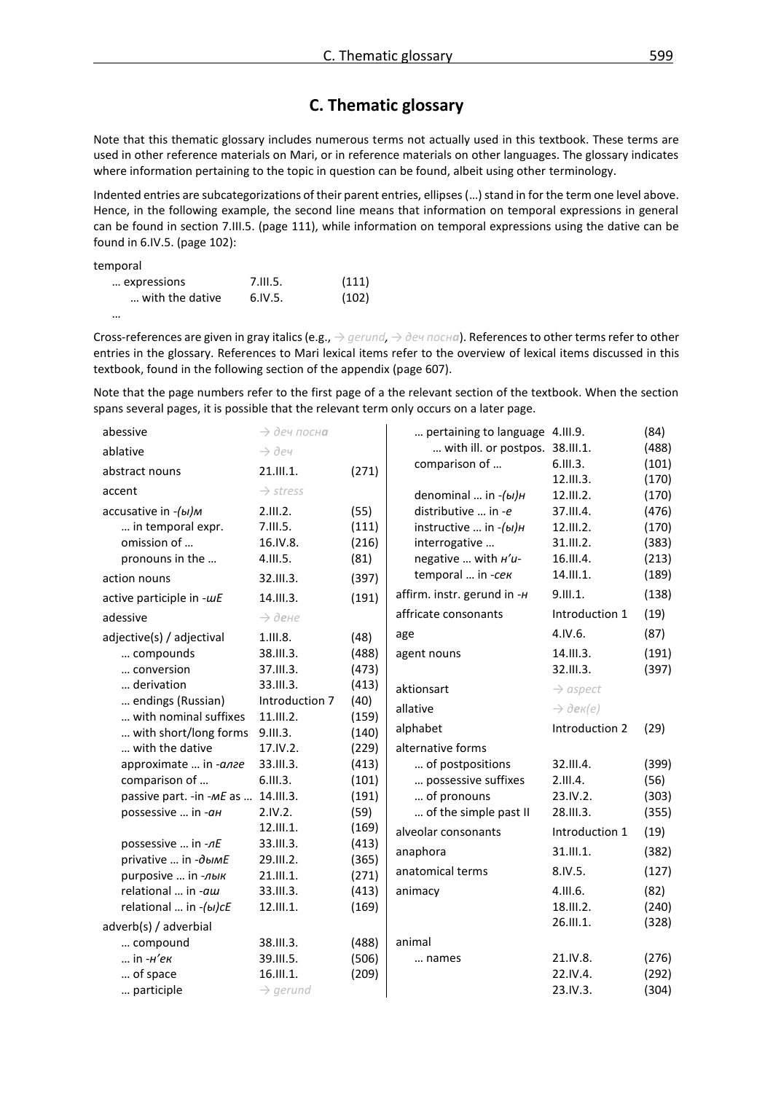## **C. Thematic glossary**

Note that this thematic glossary includes numerous terms not actually used in this textbook. These terms are used in other reference materials on Mari, or in reference materials on other languages. The glossary indicates where information pertaining to the topic in question can be found, albeit using other terminology.

Indented entries are subcategorizations of their parent entries, ellipses (…) stand in for the term one level above. Hence, in the following example, the second line means that information on temporal expressions in general can be found in section 7.III.5. (page 111), while information on temporal expressions using the dative can be found in 6.IV.5. (page 102):

| temporal        |          |       |
|-----------------|----------|-------|
| expressions     | 7.111.5. | (111) |
| with the dative | 6.1V.5.  | (102) |

<sup>…</sup>

Cross-references are given in gray italics (e.g., *→ gerund,* → *деч посна*). References to other terms refer to other entries in the glossary. References to Mari lexical items refer to the overview of lexical items discussed in this textbook, found in the following section of the appendix (page 607).

Note that the page numbers refer to the first page of a the relevant section of the textbook. When the section spans several pages, it is possible that the relevant term only occurs on a later page.

| abessive                                 | $\rightarrow$ деч посна |               | pertaining to language 4.III.9. |                        | (84)  |
|------------------------------------------|-------------------------|---------------|---------------------------------|------------------------|-------|
| ablative                                 | $\rightarrow$ dey       |               | with ill. or postpos. 38.III.1. |                        | (488) |
| abstract nouns                           | 21.111.1.               | (271)         | comparison of                   | 6.111.3.               | (101) |
| accent                                   | $\rightarrow$ stress    |               |                                 | 12.III.3.              | (170) |
|                                          |                         |               | denominal  in $-(bI)H$          | 12.III.2.              | (170) |
| accusative in -(ы)м<br>in temporal expr. | 2.III.2.<br>7.III.5.    | (55)<br>(111) | distributive  in -e             | 37.III.4.<br>12.111.2. | (476) |
|                                          |                         |               | instructive  in $-(bI)H$        |                        | (170) |
| omission of                              | 16.IV.8.                | (216)         | interrogative                   | 31.III.2.              | (383) |
| pronouns in the                          | 4.III.5.                | (81)          | negative  with <i>H'u-</i>      | 16.III.4.              | (213) |
| action nouns                             | 32.III.3.               | (397)         | temporal  in -сек               | 14.111.1.              | (189) |
| active participle in -wE                 | 14.III.3.               | (191)         | affirm. instr. gerund in -H     | 9.III.1.               | (138) |
| adessive                                 | $\rightarrow$ дене      |               | affricate consonants            | Introduction 1         | (19)  |
| adjective(s) / adjectival                | 1.III.8.                | (48)          | age                             | 4.1V.6.                | (87)  |
| compounds                                | 38.III.3.               | (488)         | agent nouns                     | 14.III.3.              | (191) |
| conversion                               | 37.III.3.               | (473)         |                                 | 32.III.3.              | (397) |
| derivation                               | 33.III.3.               | (413)         | aktionsart                      | $\rightarrow$ aspect   |       |
| endings (Russian)                        | Introduction 7          | (40)          | allative                        |                        |       |
| with nominal suffixes                    | 11.III.2.               | (159)         |                                 | $\rightarrow$ dek(e)   |       |
| with short/long forms                    | 9.111.3.                | (140)         | alphabet                        | Introduction 2         | (29)  |
| with the dative                          | 17.IV.2.                | (229)         | alternative forms               |                        |       |
| approximate  in -алге                    | 33.III.3.               | (413)         | of postpositions                | 32.III.4.              | (399) |
| comparison of                            | 6.III.3.                | (101)         | possessive suffixes             | 2.III.4.               | (56)  |
| passive part. - in -ME as                | 14.III.3.               | (191)         | of pronouns                     | 23.IV.2.               | (303) |
| possessive  in -ан                       | 2.IV.2.                 | (59)          | of the simple past II           | 28.III.3.              | (355) |
|                                          | 12.III.1.               | (169)         | alveolar consonants             | Introduction 1         | (19)  |
| possessive  in -nE                       | 33.111.3.               | (413)         | anaphora                        | 31.III.1.              | (382) |
| privative  in -дымЕ                      | 29.III.2.               | (365)         |                                 |                        |       |
| purposive  in -лык                       | 21.III.1.               | (271)         | anatomical terms                | 8.IV.5.                | (127) |
| relational  in -aw                       | 33.III.3.               | (413)         | animacy                         | 4.111.6.               | (82)  |
| relational  in -(bl)cE                   | 12.III.1.               | (169)         |                                 | 18.III.2.              | (240) |
| adverb(s) / adverbial                    |                         |               |                                 | 26.III.1.              | (328) |
| compound                                 | 38.III.3.               | (488)         | animal                          |                        |       |
| in - <i>н'ек</i>                         | 39.III.5.               | (506)         | names                           | 21.IV.8.               | (276) |
| of space                                 | 16.III.1.               | (209)         |                                 | 22.IV.4.               | (292) |
| participle                               | $\rightarrow$ gerund    |               |                                 | 23.IV.3.               | (304) |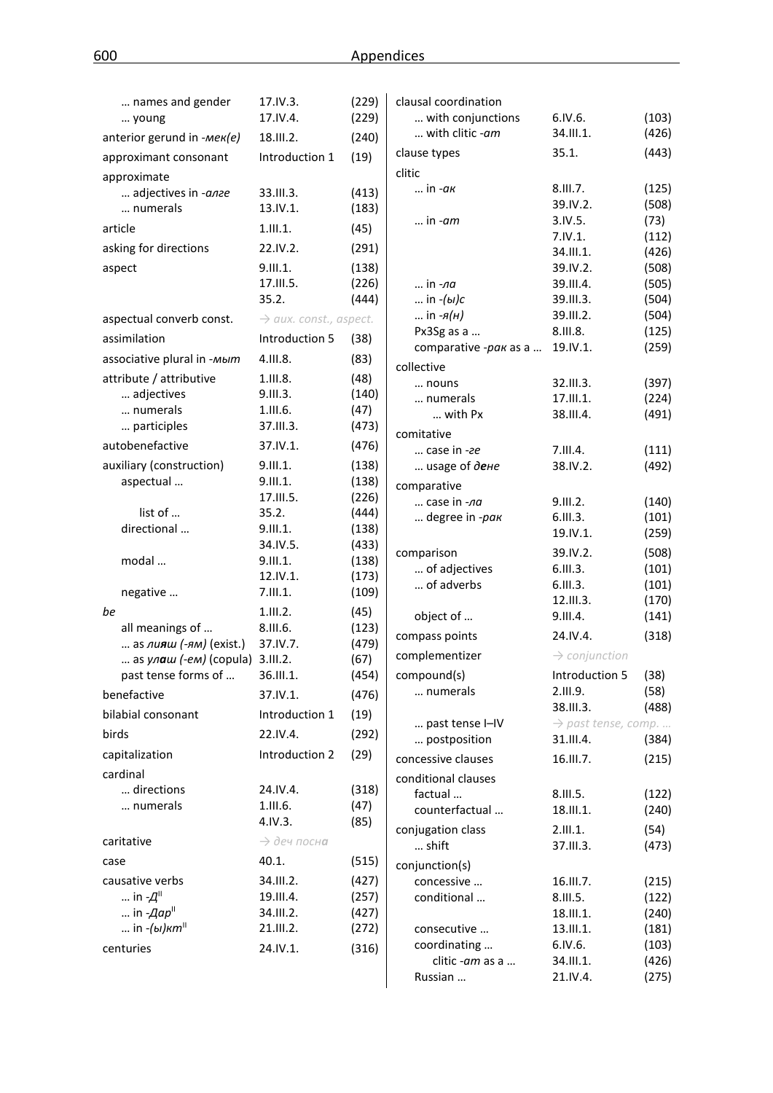| names and gender                       | 17.IV.3.                           | (229)          | clausal coordination            |                                              |                |
|----------------------------------------|------------------------------------|----------------|---------------------------------|----------------------------------------------|----------------|
| young                                  | 17.IV.4.                           | (229)          | with conjunctions               | 6.1V.6.                                      | (103)          |
| anterior gerund in -Mek(e)             | 18.III.2.                          | (240)          | with clitic -am                 | 34.III.1.                                    | (426)          |
| approximant consonant                  | Introduction 1                     | (19)           | clause types                    | 35.1.                                        | (443)          |
| approximate                            |                                    |                | clitic                          |                                              |                |
| adjectives in -anze                    | 33.III.3.                          | (413)          | in - <i>ак</i>                  | 8.III.7.                                     | (125)          |
| numerals                               | 13.IV.1.                           | (183)          |                                 | 39.IV.2.                                     | (508)          |
| article                                | 1.111.1.                           | (45)           | in - <i>am</i>                  | 3.1V.5.                                      | (73)           |
| asking for directions                  | 22.IV.2.                           | (291)          |                                 | 7.1V.1.<br>34.III.1.                         | (112)<br>(426) |
| aspect                                 | 9.III.1.                           | (138)          |                                 | 39.IV.2.                                     | (508)          |
|                                        | 17.III.5.                          | (226)          | in <i>-ла</i>                   | 39.III.4.                                    | (505)          |
|                                        | 35.2.                              | (444)          | in $-(b1)$ c                    | 39.III.3.                                    | (504)          |
| aspectual converb const.               | $\rightarrow$ aux. const., aspect. |                | in $-A(H)$                      | 39.III.2.                                    | (504)          |
| assimilation                           | Introduction 5                     | (38)           | Px3Sg as a                      | 8.III.8.                                     | (125)          |
|                                        |                                    |                | comparative -pak as a           | 19.IV.1.                                     | (259)          |
| associative plural in -мыт             | 4.III.8.                           | (83)           | collective                      |                                              |                |
| attribute / attributive                | 1.III.8.                           | (48)           | nouns                           | 32.III.3.                                    | (397)          |
| adjectives<br>numerals                 | 9.III.3.                           | (140)          | numerals                        | 17.III.1.                                    | (224)          |
| participles                            | 1.III.6.<br>37.III.3.              | (47)           | with Px                         | 38.III.4.                                    | (491)          |
|                                        |                                    | (473)          | comitative                      |                                              |                |
| autobenefactive                        | 37.IV.1.                           | (476)          | $$ case in -ze                  | 7.III.4.                                     | (111)          |
| auxiliary (construction)               | 9.III.1.                           | (138)          | usage of дене                   | 38.IV.2.                                     | (492)          |
| aspectual                              | 9.III.1.                           | (138)          | comparative                     |                                              |                |
|                                        | 17.III.5.                          | (226)          | case in -na                     | 9.III.2.                                     | (140)          |
| list of<br>directional                 | 35.2.<br>9.III.1.                  | (444)<br>(138) | degree in -pak                  | 6.111.3.                                     | (101)          |
|                                        | 34.IV.5.                           | (433)          |                                 | 19.IV.1.                                     | (259)          |
| modal                                  | 9.III.1.                           | (138)          | comparison                      | 39.IV.2.                                     | (508)          |
|                                        | 12.IV.1.                           | (173)          | of adjectives                   | 6.111.3.                                     | (101)          |
| negative                               | 7.111.1.                           | (109)          | of adverbs                      | 6.111.3.                                     | (101)          |
| be                                     | 1.111.2.                           | (45)           |                                 | 12.III.3.<br>9.III.4.                        | (170)          |
| all meanings of                        | 8.III.6.                           | (123)          | object of                       |                                              | (141)          |
| as $\mu$ <b>s</b> $\mu$ (-ям) (exist.) | 37.IV.7.                           | (479)          | compass points                  | 24.IV.4.                                     | (318)          |
| as $y_0$ aw (-em) (copula) 3.III.2.    |                                    | (67)           | complementizer                  | $\rightarrow$ conjunction                    |                |
| past tense forms of                    | 36.III.1.                          | (454)          | compound(s)                     | Introduction 5 (38)                          |                |
| benefactive                            | 37.IV.1.                           | (476)          | numerals                        | 2.III.9.                                     | (58)           |
| bilabial consonant                     | Introduction 1                     | (19)           |                                 | 38.III.3.                                    | (488)          |
| birds                                  | 22.IV.4.                           | (292)          | past tense I-IV<br>postposition | $\rightarrow$ past tense, comp.<br>31.III.4. | (384)          |
| capitalization                         | Introduction 2                     | (29)           | concessive clauses              | 16.III.7.                                    | (215)          |
| cardinal                               |                                    |                |                                 |                                              |                |
| directions                             | 24.IV.4.                           | (318)          | conditional clauses             |                                              |                |
| numerals                               | 1.111.6.                           | (47)           | factual<br>counterfactual       | 8.III.5.<br>18.III.1.                        | (122)<br>(240) |
|                                        | 4.1V.3.                            | (85)           |                                 |                                              |                |
| caritative                             | $\rightarrow$ деч посна            |                | conjugation class<br>shift      | 2.111.1.<br>37.III.3.                        | (54)<br>(473)  |
| case                                   | 40.1.                              | (515)          | conjunction(s)                  |                                              |                |
| causative verbs                        | 34.III.2.                          | (427)          | concessive                      | 16.III.7.                                    | (215)          |
| in $-A$ <sup>II</sup>                  | 19.III.4.                          | (257)          | conditional                     | 8.III.5.                                     | (122)          |
| in $-Aap^{\parallel}$                  | 34.III.2.                          | (427)          |                                 | 18.III.1.                                    | (240)          |
| in - <i>(ы)кт</i> "                    | 21.III.2.                          | (272)          | consecutive                     | 13.III.1.                                    | (181)          |
| centuries                              | 24.IV.1.                           | (316)          | coordinating                    | 6.1V.6.                                      | (103)          |
|                                        |                                    |                | clitic -am as a                 | 34.III.1.                                    | (426)          |
|                                        |                                    |                | Russian                         | 21.IV.4.                                     | (275)          |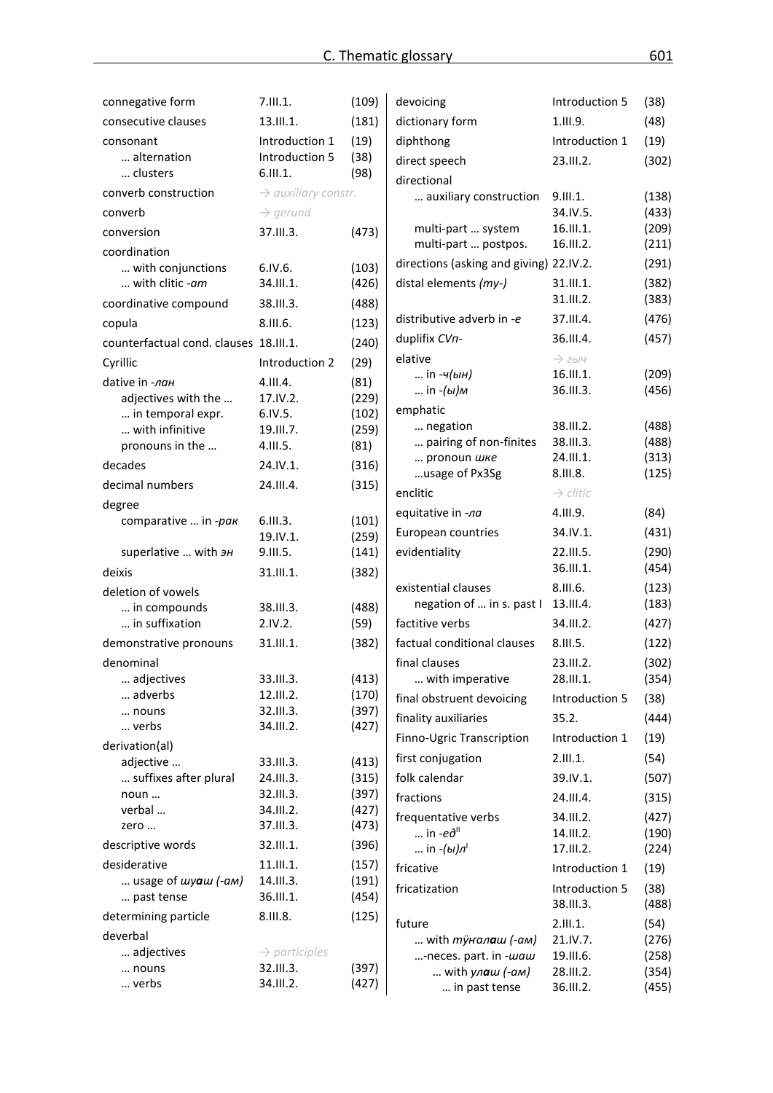| connegative form                       | 7.111.1.                               | (109)          | devoicing                               | Introduction 5                  | (38)  |
|----------------------------------------|----------------------------------------|----------------|-----------------------------------------|---------------------------------|-------|
| consecutive clauses                    | 13.111.1.                              | (181)          | dictionary form                         | 1.111.9.                        | (48)  |
| consonant                              | Introduction 1                         | (19)           | diphthong                               | Introduction 1                  | (19)  |
| alternation                            | Introduction 5                         | (38)           | direct speech                           | 23.III.2.                       | (302) |
| clusters                               | 6.111.1.                               | (98)           | directional                             |                                 |       |
| converb construction                   | $\rightarrow$ auxiliary constr.        |                | auxiliary construction                  | 9.III.1.                        | (138) |
| converb                                | $\rightarrow$ gerund                   |                |                                         | 34.IV.5.                        | (433) |
| conversion                             | 37.III.3.                              | (473)          | multi-part  system                      | 16.III.1.                       | (209) |
| coordination                           |                                        |                | multi-part  postpos.                    | 16.III.2.                       | (211) |
| with conjunctions                      | 6.1V.6.                                | (103)          | directions (asking and giving) 22.IV.2. |                                 | (291) |
| with clitic -am                        | 34.III.1.                              | (426)          | distal elements (my-)                   | 31.III.1.<br>31.III.2.          | (382) |
| coordinative compound                  | 38.III.3.                              | (488)          |                                         |                                 | (383) |
| copula                                 | 8.III.6.                               | (123)          | distributive adverb in -e               | 37.III.4.                       | (476) |
| counterfactual cond. clauses 18.III.1. |                                        | (240)          | duplifix CVn-                           | 36.III.4.                       | (457) |
| Cyrillic                               | Introduction 2                         | (29)           | elative<br>in -ч(ын)                    | $\rightarrow$ 2bly<br>16.III.1. | (209) |
| dative in -лан                         | 4.111.4.                               | (81)           | in - <i>(ы)м</i>                        | 36.III.3.                       | (456) |
| adjectives with the                    | 17.IV.2.                               | (229)          | emphatic                                |                                 |       |
| in temporal expr.<br>with infinitive   | 6.1V.5.                                | (102)          | negation                                | 38.III.2.                       | (488) |
| pronouns in the                        | 19.III.7.<br>4.111.5.                  | (259)<br>(81)  | pairing of non-finites                  | 38.III.3.                       | (488) |
| decades                                | 24.IV.1.                               | (316)          | pronoun шке                             | 24.III.1.                       | (313) |
|                                        |                                        |                | usage of Px3Sg                          | 8.III.8.                        | (125) |
| decimal numbers                        | 24.III.4.                              | (315)          | enclitic                                | $\rightarrow$ clitic            |       |
| degree<br>comparative  in -рак         | 6.111.3.                               | (101)          | equitative in -na                       | 4.III.9.                        | (84)  |
|                                        | 19.IV.1.                               | (259)          | European countries                      | 34.IV.1.                        | (431) |
| superlative  with $\partial H$         | 9.III.5.                               | (141)          | evidentiality                           | 22.III.5.                       | (290) |
| deixis                                 | 31.III.1.                              | (382)          |                                         | 36.III.1.                       | (454) |
| deletion of vowels                     |                                        |                | existential clauses                     | 8.III.6.                        | (123) |
| in compounds                           | 38.III.3.                              | (488)          | negation of  in s. past I               | 13.III.4.                       | (183) |
| in suffixation                         | 2.IV.2.                                | (59)           | factitive verbs                         | 34.III.2.                       | (427) |
| demonstrative pronouns                 | 31.III.1.                              | (382)          | factual conditional clauses             | 8.III.5.                        | (122) |
| denominal                              |                                        |                | final clauses                           | 23.III.2.                       | (302) |
| adjectives                             | 33.III.3.                              | (413)          | with imperative                         | 28.III.1.                       | (354) |
| adverbs                                | 12.III.2.                              | (170)          | final obstruent devoicing               | Introduction 5                  | (38)  |
| nouns<br>verbs                         | 32.III.3.<br>34.III.2.                 | (397)<br>(427) | finality auxiliaries                    | 35.2.                           | (444) |
| derivation(al)                         |                                        |                | Finno-Ugric Transcription               | Introduction 1                  | (19)  |
| adjective                              | 33.III.3.                              | (413)          | first conjugation                       | 2.111.1.                        | (54)  |
| suffixes after plural                  | 24.III.3.                              | (315)          | folk calendar                           | 39.IV.1.                        | (507) |
| noun                                   | 32.III.3.                              | (397)          | fractions                               | 24.III.4.                       | (315) |
| verbal                                 | 34.III.2.                              | (427)          | frequentative verbs                     | 34.III.2.                       | (427) |
| zero                                   | 37.III.3.                              | (473)          | $\ldots$ in -e $\partial^{\text{II}}$   | 14.III.2.                       | (190) |
| descriptive words                      | 32.III.1.                              | (396)          | in $-(bI)\pi$ <sup>1</sup>              | 17.III.2.                       | (224) |
| desiderative                           | 11.III.1.                              | (157)          | fricative                               | Introduction 1                  | (19)  |
| usage of <i>wyaw</i> (-am)             | 14.III.3.                              | (191)          | fricatization                           | Introduction 5                  | (38)  |
| past tense                             | 36.III.1.                              | (454)          |                                         | 38.III.3.                       | (488) |
| determining particle                   | 8.III.8.                               | (125)          | future                                  | 2.111.1.                        | (54)  |
| deverbal                               |                                        |                | with <i>ту̀налаш (-ам)</i>              | 21.IV.7.                        | (276) |
| adjectives<br>nouns                    | $\rightarrow$ participles<br>32.III.3. | (397)          | -neces. part. in -waw                   | 19.III.6.                       | (258) |
| verbs                                  | 34.III.2.                              | (427)          | with ул <b>а</b> ш (-ам)                | 28.III.2.                       | (354) |
|                                        |                                        |                | in past tense                           | 36.III.2.                       | (455) |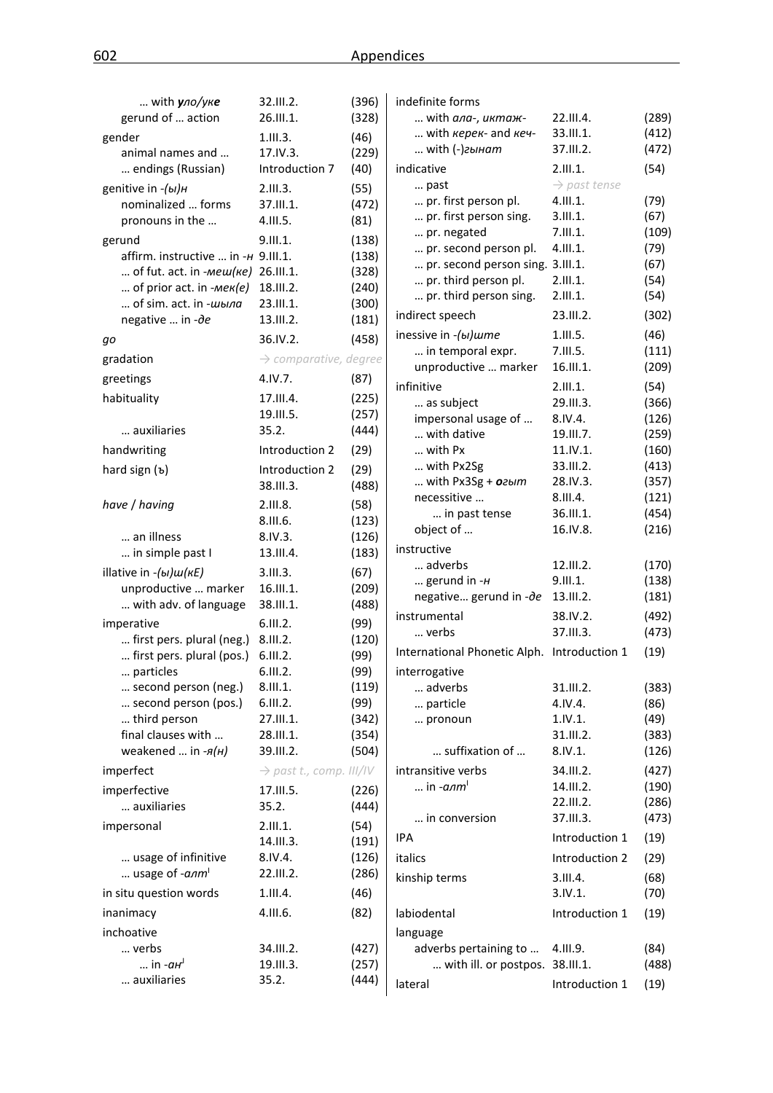| with $y$ ло/уке                           | 32.111.2.                           | (396)         | indefinite forms                            |                          |                |
|-------------------------------------------|-------------------------------------|---------------|---------------------------------------------|--------------------------|----------------|
| gerund of  action                         | 26.III.1.                           | (328)         | with ала-, иктаж-                           | 22.III.4.                | (289)          |
| gender                                    | 1.111.3.                            | (46)          | with <i>kepek</i> - and <i>key</i> -        | 33.III.1.                | (412)          |
| animal names and                          | 17.IV.3.                            | (229)         | $$ with $(-)$ гынат                         | 37.III.2.                | (472)          |
| endings (Russian)                         | Introduction 7                      | (40)          | indicative                                  | 2.111.1.                 | (54)           |
| genitive in -(ы)н                         | 2.111.3.                            | (55)          | past                                        | $\rightarrow$ past tense |                |
| nominalized  forms                        | 37.III.1.                           | (472)         | pr. first person pl.                        | 4.111.1.                 | (79)           |
| pronouns in the                           | 4.111.5.                            | (81)          | pr. first person sing.                      | 3.111.1.                 | (67)           |
| gerund                                    | 9.111.1.                            | (138)         | pr. negated                                 | 7.111.1.                 | (109)          |
| affirm. instructive  in -H 9.III.1.       |                                     | (138)         | pr. second person pl.                       | 4.111.1.                 | (79)           |
| of fut. act. in $\text{-}$ <i>Mew(ke)</i> | 26.III.1.                           | (328)         | pr. second person sing. 3.III.1.            |                          | (67)           |
| of prior act. in $-mek(e)$                | 18.III.2.                           | (240)         | pr. third person pl.                        | 2.111.1.                 | (54)           |
| of sim. act. in -шыла                     | 23.III.1.                           | (300)         | pr. third person sing.                      | 2.111.1.                 | (54)           |
| negative  in -de                          | 13.III.2.                           | (181)         | indirect speech                             | 23.III.2.                | (302)          |
| gо                                        | 36.IV.2.                            | (458)         | inessive in -(bi) ume                       | 1.111.5.                 | (46)           |
| gradation                                 | $\rightarrow$ comparative, degree   |               | in temporal expr.<br>unproductive  marker   | 7.III.5.<br>16.III.1.    | (111)          |
| greetings                                 | 4.1V.7.                             | (87)          |                                             |                          | (209)          |
| habituality                               | 17.III.4.                           | (225)         | infinitive                                  | 2.111.1.<br>29.III.3.    | (54)           |
|                                           | 19.III.5.                           | (257)         | as subject<br>impersonal usage of           | 8.IV.4.                  | (366)<br>(126) |
| auxiliaries                               | 35.2.                               | (444)         | with dative                                 | 19.III.7.                | (259)          |
| handwriting                               | Introduction 2                      | (29)          | with Px                                     | 11.IV.1.                 | (160)          |
| hard sign $(b)$                           | Introduction 2                      | (29)          | with Px2Sg                                  | 33.III.2.                | (413)          |
|                                           | 38.III.3.                           | (488)         | with Px3Sg + ozum                           | 28.IV.3.                 | (357)          |
|                                           |                                     |               | necessitive                                 | 8.III.4.                 | (121)          |
| have / having                             | 2.III.8.<br>8.III.6.                | (58)<br>(123) | in past tense                               | 36.III.1.                | (454)          |
| an illness                                | 8.IV.3.                             | (126)         | object of                                   | 16.IV.8.                 | (216)          |
| in simple past I                          | 13.III.4.                           | (183)         | instructive                                 |                          |                |
| illative in $-(b)$ $u$ ( $kE$ )           | 3.111.3.                            | (67)          | adverbs                                     | 12.111.2.                | (170)          |
| unproductive  marker                      | 16.III.1.                           | (209)         | gerund in $-H$                              | 9.III.1.                 | (138)          |
| with adv. of language                     | 38.III.1.                           | (488)         | negative gerund in -de 13.III.2.            |                          | (181)          |
| imperative                                | 6.111.2.                            | (99)          | instrumental                                | 38.IV.2.                 | (492)          |
| first pers. plural (neg.)                 | 8.III.2.                            | (120)         | verbs                                       | 37.III.3.                | (473)          |
| first pers. plural (pos.)                 | 6.111.2.                            | (99)          | International Phonetic Alph. Introduction 1 |                          | (19)           |
| particles                                 | 6.III.2.                            | (99)          | interrogative                               |                          |                |
| second person (neg.)                      | 8.III.1.                            | (119)         | adverbs                                     | 31.III.2.                | (383)          |
| second person (pos.)                      | 6.111.2.                            | (99)          | particle                                    | 4.IV.4.                  | (86)           |
| third person                              | 27.III.1.                           | (342)         | pronoun                                     | 1.IV.1.                  | (49)           |
| final clauses with                        | 28.III.1.                           | (354)         |                                             | 31.III.2.                | (383)          |
| weakened  in -я(н)                        | 39.III.2.                           | (504)         | suffixation of                              | 8.IV.1.                  | (126)          |
| imperfect                                 | $\rightarrow$ past t., comp. III/IV |               | intransitive verbs                          | 34.III.2.                | (427)          |
| imperfective                              | 17.III.5.                           | (226)         | in -алт <sup>і</sup>                        | 14.III.2.                | (190)          |
| auxiliaries                               | 35.2.                               | (444)         |                                             | 22.III.2.                | (286)          |
| impersonal                                | 2.111.1.                            | (54)          | in conversion                               | 37.III.3.                | (473)          |
|                                           | 14.III.3.                           | (191)         | IPA                                         | Introduction 1           | (19)           |
| usage of infinitive                       | 8.IV.4.                             | (126)         | italics                                     | Introduction 2           | (29)           |
| usage of - <i>anm</i>                     | 22.III.2.                           | (286)         | kinship terms                               | 3.III.4.                 | (68)           |
| in situ question words                    | 1.111.4.                            | (46)          |                                             | 3.IV.1.                  | (70)           |
| inanimacy                                 | 4.111.6.                            | (82)          | labiodental                                 | Introduction 1           | (19)           |
| inchoative                                |                                     |               | language                                    |                          |                |
| verbs                                     | 34.III.2.                           | (427)         | adverbs pertaining to                       | 4.III.9.                 | (84)           |
| in $-aH$ <sup>1</sup>                     | 19.III.3.                           | (257)         | with ill. or postpos. 38.III.1.             |                          | (488)          |
| auxiliaries                               | 35.2.                               | (444)         | lateral                                     | Introduction 1           | (19)           |
|                                           |                                     |               |                                             |                          |                |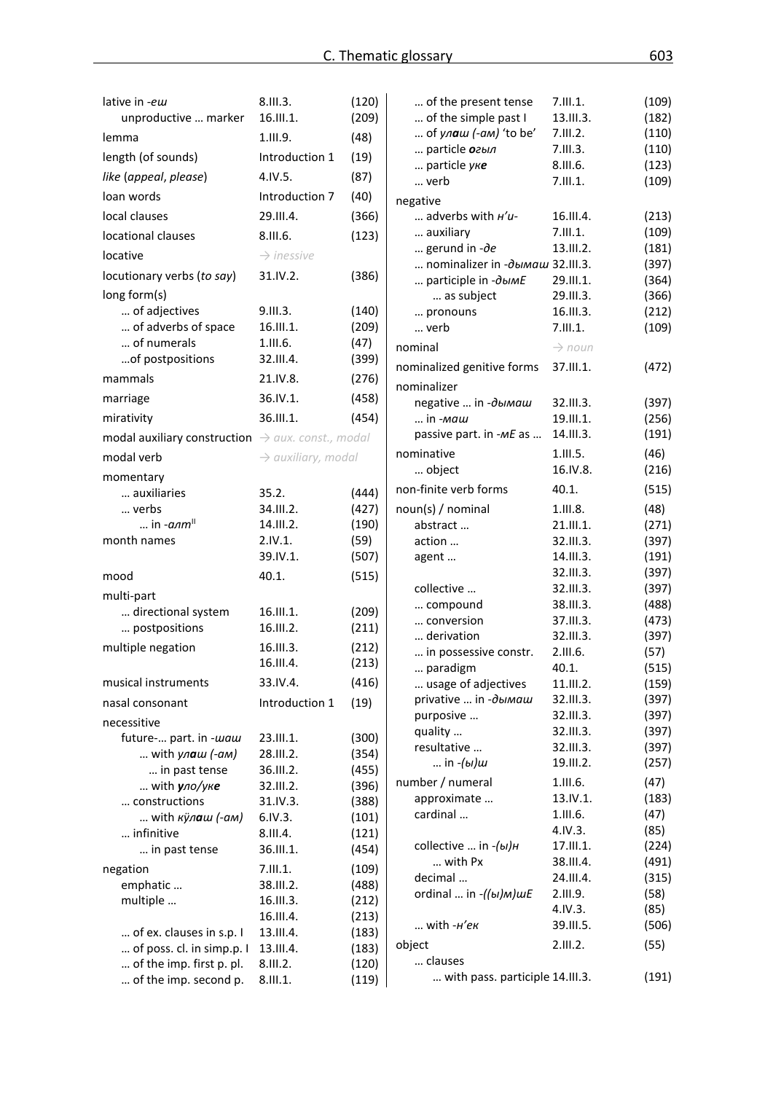| lative in -ew<br>unproductive  marker                         | 8.111.3.<br>16.III.1.          | (120)<br>(209) | of the present tense<br>of the simple past I | 7.111.1.<br>13.III.3.  | (109)<br>(182) |
|---------------------------------------------------------------|--------------------------------|----------------|----------------------------------------------|------------------------|----------------|
| lemma                                                         | 1.III.9.                       | (48)           | of $y_1$ a $u_2$ (-am) 'to be'               | 7.III.2.               | (110)          |
| length (of sounds)                                            | Introduction 1                 | (19)           | particle <i>огыл</i>                         | 7.111.3.               | (110)          |
| like (appeal, please)                                         | 4.1V.5.                        | (87)           | particle yke                                 | 8.III.6.               | (123)          |
| loan words                                                    |                                |                | verb                                         | 7.111.1.               | (109)          |
|                                                               | Introduction 7                 | (40)           | negative                                     |                        |                |
| local clauses                                                 | 29.III.4.                      | (366)          | adverbs with $H'$ u-                         | 16.III.4.              | (213)          |
| locational clauses                                            | 8.III.6.                       | (123)          | auxiliary<br>gerund in $-\partial e$         | 7.111.1.<br>13.III.2.  | (109)          |
| locative                                                      | $\rightarrow$ inessive         |                | nominalizer in -дымаш 32.III.3.              |                        | (181)<br>(397) |
| locutionary verbs (to say)                                    | 31.IV.2.                       | (386)          | participle in -ObIME                         | 29.III.1.              | (364)          |
| long form(s)                                                  |                                |                | as subject                                   | 29.III.3.              | (366)          |
| of adjectives                                                 | 9.III.3.                       | (140)          | pronouns                                     | 16.III.3.              | (212)          |
| of adverbs of space                                           | 16.III.1.                      | (209)          | verb                                         | 7.111.1.               | (109)          |
| of numerals                                                   | 1.III.6.                       | (47)           | nominal                                      | $\rightarrow$ noun     |                |
| of postpositions                                              | 32.III.4.                      | (399)          | nominalized genitive forms                   | 37.III.1.              | (472)          |
| mammals                                                       | 21.IV.8.                       | (276)          | nominalizer                                  |                        |                |
| marriage                                                      | 36.IV.1.                       | (458)          | negative  in -дымаш                          | 32.III.3.              | (397)          |
| mirativity                                                    | 36.III.1.                      | (454)          | in -маш                                      | 19.11.1.               | (256)          |
| modal auxiliary construction $\rightarrow$ aux. const., modal |                                |                | passive part. in -ME as                      | 14.III.3.              | (191)          |
| modal verb                                                    |                                |                | nominative                                   | 1.111.5.               | (46)           |
|                                                               | $\rightarrow$ auxiliary, modal |                | object                                       | 16.IV.8.               | (216)          |
| momentary                                                     |                                |                | non-finite verb forms                        | 40.1.                  | (515)          |
| auxiliaries<br>verbs                                          | 35.2.<br>34.III.2.             | (444)<br>(427) |                                              |                        |                |
| in $-a$ <sub>nm</sub> <sup><math>\parallel</math></sup>       | 14.III.2.                      | (190)          | noun(s) / nominal<br>abstract                | 1.III.8.<br>21.III.1.  | (48)<br>(271)  |
| month names                                                   | 2.IV.1.                        | (59)           | action                                       | 32.III.3.              | (397)          |
|                                                               | 39.IV.1.                       | (507)          | agent                                        | 14.III.3.              | (191)          |
| mood                                                          | 40.1.                          | (515)          |                                              | 32.III.3.              | (397)          |
|                                                               |                                |                | collective                                   | 32.III.3.              | (397)          |
| multi-part<br>directional system                              | 16.III.1.                      | (209)          | compound                                     | 38.III.3.              | (488)          |
| postpositions                                                 | 16.III.2.                      | (211)          | conversion                                   | 37.III.3.              | (473)          |
|                                                               |                                |                | derivation                                   | 32.III.3.              | (397)          |
| multiple negation                                             | 16.III.3.<br>16.III.4.         | (212)<br>(213) | in possessive constr.                        | 2.III.6.               | (57)           |
|                                                               |                                |                | paradigm                                     | 40.1.                  | (515)          |
| musical instruments                                           | 33.IV.4.                       | (416)          | usage of adjectives                          | 11.III.2.              | (159)          |
| nasal consonant                                               | Introduction 1                 | (19)           | privative  in -дымаш<br>purposive            | 32.III.3.<br>32.III.3. | (397)<br>(397) |
| necessitive                                                   |                                |                | quality                                      | 32.III.3.              | (397)          |
| future- part. in -waw                                         | 23.III.1.                      | (300)          | resultative                                  | 32.III.3.              | (397)          |
| with $y_1$ a $u$ (-am)                                        | 28.III.2.                      | (354)          | in -(ы)ш                                     | 19.III.2.              | (257)          |
| in past tense                                                 | 36.III.2.                      | (455)          | number / numeral                             | 1.111.6.               | (47)           |
| with $y$ ло/уке<br>constructions                              | 32.III.2.<br>31.IV.3.          | (396)<br>(388) | approximate                                  | 13.IV.1.               | (183)          |
| with кулаш (-ам)                                              | 6.IV.3.                        | (101)          | cardinal                                     | 1.111.6.               | (47)           |
| infinitive                                                    | 8.III.4.                       | (121)          |                                              | 4.IV.3.                | (85)           |
| in past tense                                                 | 36.III.1.                      | (454)          | collective  in -(ы)н                         | 17.III.1.              | (224)          |
| negation                                                      | 7.111.1.                       | (109)          | with Px                                      | 38.III.4.              | (491)          |
| emphatic                                                      | 38.III.2.                      | (488)          | decimal                                      | 24.III.4.              | (315)          |
| multiple                                                      | 16.III.3.                      | (212)          | ordinal  in $-(\mu)$ M) $\mu$ E              | 2.III.9.               | (58)           |
|                                                               | 16.III.4.                      | (213)          |                                              | 4.IV.3.                | (85)           |
| of ex. clauses in s.p. I                                      | 13.III.4.                      | (183)          | with -н'ек                                   | 39.III.5.              | (506)          |
| of poss. cl. in simp.p. I                                     | 13.III.4.                      | (183)          | object                                       | 2.111.2.               | (55)           |
| of the imp. first p. pl.                                      | 8.III.2.                       | (120)          | clauses                                      |                        |                |
| of the imp. second p.                                         | 8.III.1.                       | (119)          | with pass. participle 14.III.3.              |                        | (191)          |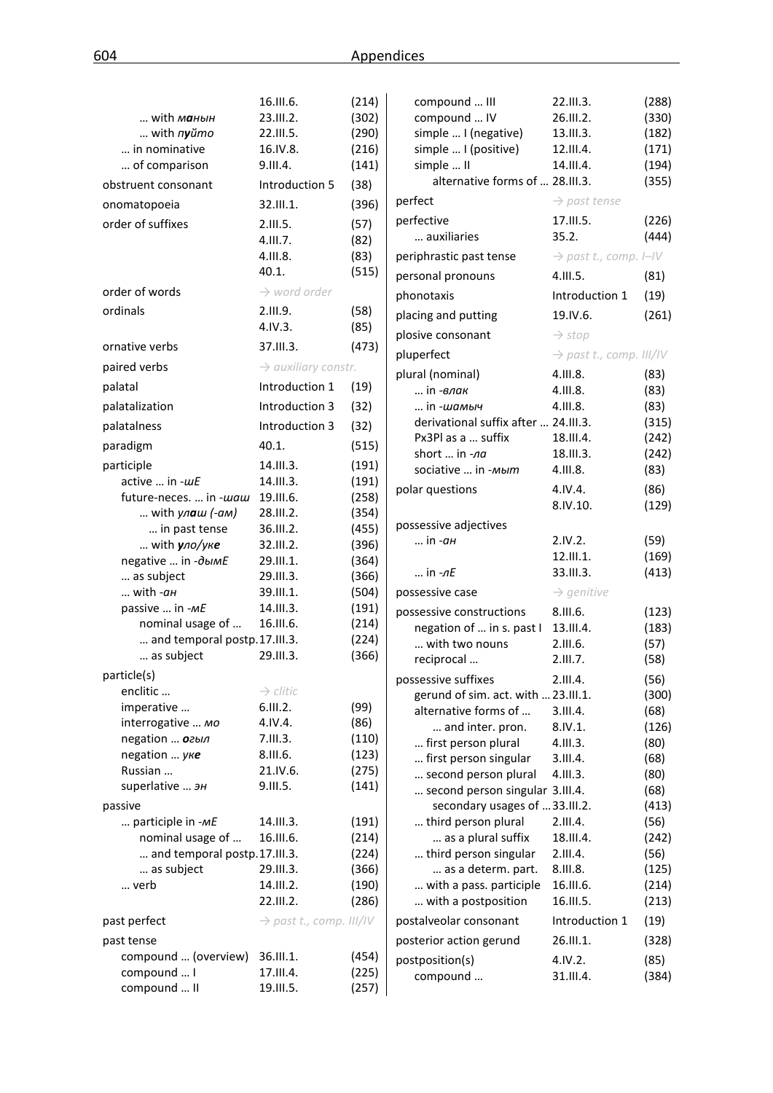|                              | 16.III.6.                           | (214) | compound  III                        | 22.111.3.                           | (288)        |
|------------------------------|-------------------------------------|-------|--------------------------------------|-------------------------------------|--------------|
| with манын                   | 23.III.2.                           | (302) | compound  IV                         | 26.III.2.                           | (330)        |
| with $n$ yŭmo                | 22.III.5.                           | (290) | simple  I (negative)                 | 13.III.3.                           | (182)        |
| in nominative                | 16.IV.8.                            | (216) | simple  I (positive)                 | 12.III.4.                           | (171)        |
| of comparison                | 9.III.4.                            | (141) | simple  II                           | 14.III.4.                           | (194)        |
| obstruent consonant          | Introduction 5                      | (38)  | alternative forms of  28.III.3.      |                                     | (355)        |
| onomatopoeia                 | 32.III.1.                           | (396) | perfect                              | $\rightarrow$ past tense            |              |
| order of suffixes            | 2.III.5.                            | (57)  | perfective                           | 17.III.5.                           | (226)        |
|                              | 4.III.7.                            | (82)  | auxiliaries                          | 35.2.                               | (444)        |
|                              | 4.III.8.                            | (83)  | periphrastic past tense              | $\rightarrow$ past t., comp. I-IV   |              |
|                              | 40.1.                               | (515) | personal pronouns                    | 4.III.5.                            | (81)         |
| order of words               | $\rightarrow$ word order            |       | phonotaxis                           | Introduction 1                      | (19)         |
| ordinals                     | 2.111.9.                            | (58)  | placing and putting                  | 19.IV.6.                            | (261)        |
|                              | 4.1V.3.                             | (85)  | plosive consonant                    | $\rightarrow$ stop                  |              |
| ornative verbs               | 37.III.3.                           | (473) | pluperfect                           | $\rightarrow$ past t., comp. III/IV |              |
| paired verbs                 | $\rightarrow$ auxiliary constr.     |       |                                      | 4.111.8.                            |              |
| palatal                      | Introduction 1                      | (19)  | plural (nominal)<br>in - <i>влак</i> | 4.111.8.                            | (83)<br>(83) |
| palatalization               | Introduction 3                      | (32)  | in -шамыч                            | 4.111.8.                            | (83)         |
|                              |                                     |       | derivational suffix after  24.III.3. |                                     | (315)        |
| palatalness                  | Introduction 3                      | (32)  | Px3Pl as a  suffix                   | 18.III.4.                           | (242)        |
| paradigm                     | 40.1.                               | (515) | short  in -na                        | 18.III.3.                           | (242)        |
| participle                   | 14.III.3.                           | (191) | sociative  in -мыт                   | 4.III.8.                            | (83)         |
| active  in -wE               | 14.III.3.                           | (191) |                                      |                                     |              |
| future-neces.  in -waw       | 19.III.6.                           | (258) | polar questions                      | 4.IV.4.                             | (86)         |
| with $y_1$ a $u$ (-am)       | 28.III.2.                           | (354) |                                      | 8.IV.10.                            | (129)        |
| in past tense                | 36.III.2.                           | (455) | possessive adjectives                |                                     |              |
| with $y$ ло/уке              | 32.III.2.                           | (396) | in - <i>ан</i>                       | 2.IV.2.                             | (59)         |
| negative  in -дымЕ           | 29.III.1.                           | (364) |                                      | 12.III.1.                           | (169)        |
| as subject                   | 29.III.3.                           | (366) | in <i>-лЕ</i>                        | 33.III.3.                           | (413)        |
| with -ан                     | 39.III.1.                           | (504) | possessive case                      | $\rightarrow$ genitive              |              |
| passive  in -ME              | 14.III.3.                           | (191) | possessive constructions             | 8.III.6.                            | (123)        |
| nominal usage of             | 16.III.6.                           | (214) | negation of  in s. past I            | 13.III.4.                           | (183)        |
| and temporal postp.17.III.3. |                                     | (224) | with two nouns                       | 2.III.6.                            | (57)         |
| as subject                   | 29.III.3.                           | (366) | reciprocal                           | 2.III.7.                            | (58)         |
| particle(s)                  |                                     |       | possessive suffixes                  | 2.III.4.                            | (56)         |
| enclitic                     | $\rightarrow$ clitic                |       | gerund of sim. act. with  23.III.1.  |                                     | (300)        |
| imperative                   | 6.III.2.                            | (99)  | alternative forms of                 | 3.III.4.                            | (68)         |
| interrogative  мо            | 4.IV.4.                             | (86)  | and inter. pron.                     | 8.IV.1.                             | (126)        |
| negation  огыл               | 7.III.3.                            | (110) | first person plural                  | 4.111.3.                            | (80)         |
| negation  yke                | 8.III.6.                            | (123) | first person singular                | 3.III.4.                            | (68)         |
| Russian                      | 21.IV.6.                            | (275) | second person plural                 | 4.111.3.                            | (80)         |
| superlative  эн              | 9.III.5.                            | (141) | second person singular 3.III.4.      |                                     | (68)         |
| passive                      |                                     |       | secondary usages of 33.III.2.        |                                     | (413)        |
| participle in -ME            | 14.III.3.                           | (191) | third person plural                  | 2.III.4.                            | (56)         |
| nominal usage of             | 16.III.6.                           | (214) | as a plural suffix                   | 18.III.4.                           | (242)        |
| and temporal postp.17.III.3. |                                     | (224) | third person singular                | 2.III.4.                            | (56)         |
| as subject                   | 29.III.3.                           | (366) | as a determ. part.                   | 8.III.8.                            | (125)        |
| verb                         | 14.III.2.                           | (190) | with a pass. participle              | 16.III.6.                           | (214)        |
|                              | 22.III.2.                           | (286) | with a postposition                  | 16.III.5.                           | (213)        |
| past perfect                 | $\rightarrow$ past t., comp. III/IV |       | postalveolar consonant               | Introduction 1                      | (19)         |
| past tense                   |                                     |       | posterior action gerund              | 26.III.1.                           | (328)        |
| compound  (overview)         | 36.III.1.                           | (454) | postposition(s)                      | 4.IV.2.                             | (85)         |
| compound  I                  | 17.III.4.                           | (225) | compound                             | 31.III.4.                           | (384)        |
| compound  II                 | 19.III.5.                           | (257) |                                      |                                     |              |
|                              |                                     |       |                                      |                                     |              |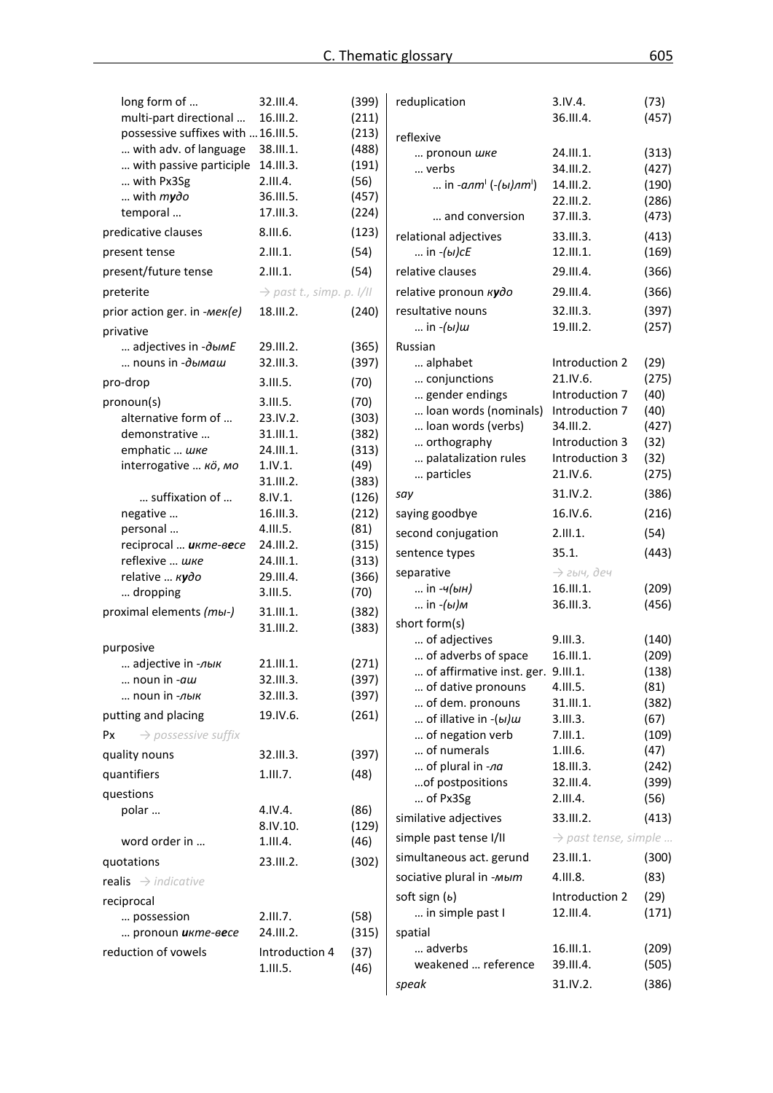| long form of                          | 32.III.4.                            | (399)          | reduplication                      | 3.IV.4.                          | (73)  |
|---------------------------------------|--------------------------------------|----------------|------------------------------------|----------------------------------|-------|
| multi-part directional                | 16.III.2.                            | (211)          |                                    | 36.III.4.                        | (457) |
| possessive suffixes with  16.III.5.   |                                      | (213)          | reflexive                          |                                  |       |
| with adv. of language                 | 38.III.1.                            | (488)          | pronoun шке                        | 24.III.1.                        | (313) |
| with passive participle               | 14.III.3.                            | (191)          | verbs                              | 34.III.2.                        | (427) |
| with Px3Sg                            | 2.III.4.                             | (56)           | in - $a\pi m^1$ (-(ы) $\pi m^1$ )  | 14.III.2.                        | (190) |
| with $m$ ydo                          | 36.III.5.                            | (457)          |                                    | 22.III.2.                        | (286) |
| temporal                              | 17.III.3.                            | (224)          | and conversion                     | 37.III.3.                        | (473) |
| predicative clauses                   | 8.III.6.                             | (123)          | relational adjectives              | 33.III.3.                        | (413) |
| present tense                         | 2.111.1.                             | (54)           | in $-(b)$ cE                       | 12.III.1.                        | (169) |
| present/future tense                  | 2.111.1.                             | (54)           | relative clauses                   | 29.III.4.                        | (366) |
| preterite                             | $\rightarrow$ past t., simp. p. I/II |                | relative pronoun kydo              | 29.III.4.                        | (366) |
| prior action ger. in -Mek(e)          | 18.III.2.                            | (240)          | resultative nouns                  | 32.III.3.                        | (397) |
| privative                             |                                      |                | in -(ы)ш                           | 19.III.2.                        | (257) |
| adjectives in -ObIME                  | 29.III.2.                            | (365)          | Russian                            |                                  |       |
| nouns in -дымаш                       | 32.III.3.                            | (397)          | alphabet                           | Introduction 2                   | (29)  |
| pro-drop                              | 3.111.5.                             | (70)           | conjunctions                       | 21.1V.6.                         | (275) |
|                                       |                                      |                | gender endings                     | Introduction 7                   | (40)  |
| pronoun(s)                            | 3.III.5.                             | (70)           | Ioan words (nominals)              | Introduction 7                   | (40)  |
| alternative form of                   | 23.IV.2.                             | (303)          | loan words (verbs)                 | 34.III.2.                        | (427) |
| demonstrative                         | 31.III.1.                            | (382)          | orthography                        | Introduction 3                   | (32)  |
| emphatic  шке                         | 24.III.1.                            | (313)          | palatalization rules               | Introduction 3                   | (32)  |
| interrogative  кö, мо                 | 1.IV.1.                              | (49)           | particles                          | 21.IV.6.                         | (275) |
| suffixation of                        | 31.III.2.<br>8.IV.1.                 | (383)          | say                                | 31.IV.2.                         | (386) |
| negative                              | 16.III.3.                            | (126)<br>(212) | saying goodbye                     | 16.IV.6.                         | (216) |
| personal                              | 4.III.5.                             | (81)           |                                    |                                  |       |
| reciprocal  икте-весе                 | 24.III.2.                            | (315)          | second conjugation                 | 2.111.1.                         | (54)  |
| reflexive  шке                        | 24.III.1.                            | (313)          | sentence types                     | 35.1.                            | (443) |
| relative  Kydo                        | 29.III.4.                            | (366)          | separative                         | $\rightarrow$ гыч, деч           |       |
| dropping                              | 3.111.5.                             | (70)           | in -ч(ын)                          | 16.III.1.                        | (209) |
|                                       |                                      |                | in - <i>(ы)м</i>                   | 36.III.3.                        | (456) |
| proximal elements (mbi-)              | 31.III.1.<br>31.III.2.               | (382)<br>(383) | short form(s)                      |                                  |       |
|                                       |                                      |                | of adjectives                      | 9.III.3.                         | (140) |
| purposive                             |                                      |                | of adverbs of space                | 16.III.1.                        | (209) |
| adjective in -лык                     | 21.III.1.                            | (271)          | of affirmative inst. ger. 9.III.1. |                                  | (138) |
| noun in -aw                           | 32.III.3.                            | (397)          | of dative pronouns                 | 4.111.5.                         | (81)  |
| noun in -лык                          | 32.III.3.                            | (397)          | of dem. pronouns                   | 31.III.1.                        | (382) |
| putting and placing                   | 19.IV.6.                             | (261)          | of illative in -(bl)w              | 3.111.3.                         | (67)  |
| $\rightarrow$ possessive suffix<br>Px |                                      |                | of negation verb                   | 7.111.1.                         | (109) |
| quality nouns                         | 32.III.3.                            | (397)          | of numerals                        | 1.111.6.                         | (47)  |
| quantifiers                           | 1.111.7.                             |                | of plural in -na                   | 18.III.3.                        | (242) |
|                                       |                                      | (48)           | of postpositions                   | 32.III.4.                        | (399) |
| questions                             |                                      |                | of Px3Sg                           | 2.III.4.                         | (56)  |
| polar                                 | 4.IV.4.                              | (86)           | similative adjectives              | 33.III.2.                        | (413) |
|                                       | 8.IV.10.                             | (129)          | simple past tense I/II             | $\rightarrow$ past tense, simple |       |
| word order in                         | 1.111.4.                             | (46)           | simultaneous act. gerund           | 23.III.1.                        | (300) |
| quotations                            | 23.III.2.                            | (302)          |                                    |                                  |       |
| realis $\rightarrow$ indicative       |                                      |                | sociative plural in -мыт           | 4.111.8.                         | (83)  |
| reciprocal                            |                                      |                | soft sign $(b)$                    | Introduction 2                   | (29)  |
| possession                            | 2.III.7.                             | (58)           | in simple past I                   | 12.III.4.                        | (171) |
| pronoun икте-весе                     | 24.III.2.                            | (315)          | spatial                            |                                  |       |
| reduction of vowels                   | Introduction 4                       | (37)           | adverbs                            | 16.III.1.                        | (209) |
|                                       | 1.111.5.                             | (46)           | weakened  reference                | 39.III.4.                        | (505) |
|                                       |                                      |                | speak                              | 31.IV.2.                         | (386) |
|                                       |                                      |                |                                    |                                  |       |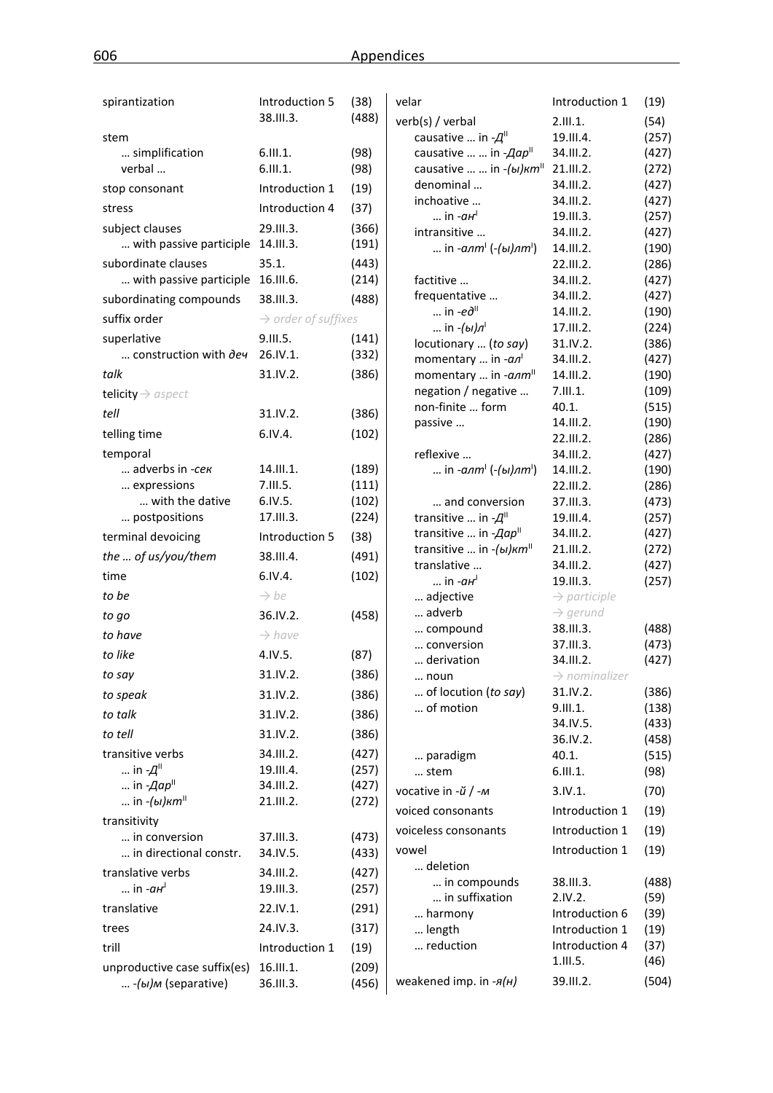| spirantization                            | Introduction 5                  | (38)  | velar                                                       | Introduction 1                        | (19)           |
|-------------------------------------------|---------------------------------|-------|-------------------------------------------------------------|---------------------------------------|----------------|
|                                           | 38.III.3.                       | (488) | verb(s) / verbal                                            | 2.111.1.                              | (54)           |
| stem                                      |                                 |       | causative  in $-A^{\text{II}}$                              | 19.III.4.                             | (257)          |
| simplification                            | 6.111.1.                        | (98)  | causative   in - <i>Aap</i> <sup>11</sup>                   | 34.III.2.                             | (427)          |
| verbal                                    | 6.111.1.                        | (98)  | causative   in $-(bI)$ <sub>K</sub> $mII$                   | 21.III.2.                             | (272)          |
| stop consonant                            | Introduction 1                  | (19)  | denominal                                                   | 34.III.2.                             | (427)          |
| stress                                    | Introduction 4                  | (37)  | inchoative                                                  | 34.III.2.                             | (427)          |
| subject clauses                           | 29.III.3.                       | (366) | $\ldots$ in $-aH$ <sup>l</sup>                              | 19.III.3.                             | (257)          |
| with passive participle                   | 14.III.3.                       | (191) | intransitive                                                | 34.III.2.                             | (427)          |
|                                           |                                 |       | in - <i>anm</i> <sup>1</sup> (-(ы)лт <sup>1</sup> )         | 14.III.2.                             | (190)          |
| subordinate clauses                       | 35.1.                           | (443) |                                                             | 22.III.2.                             | (286)          |
| with passive participle                   | 16.III.6.                       | (214) | factitive                                                   | 34.III.2.                             | (427)          |
| subordinating compounds                   | 38.III.3.                       | (488) | frequentative<br>in $-e\partial^{\text{II}}$                | 34.III.2.                             | (427)          |
| suffix order                              | $\rightarrow$ order of suffixes |       | in $-(bI)\pi$ <sup>1</sup>                                  | 14.III.2.<br>17.III.2.                | (190)          |
| superlative                               | 9.III.5.                        | (141) | locutionary  (to say)                                       | 31.IV.2.                              | (224)<br>(386) |
| construction with deu                     | 26.IV.1.                        | (332) | momentary  in $-a\pi$ <sup>1</sup>                          | 34.III.2.                             | (427)          |
| talk                                      | 31.IV.2.                        | (386) | momentary  in -anm <sup>II</sup>                            | 14.III.2.                             | (190)          |
|                                           |                                 |       | negation / negative                                         | 7.111.1.                              | (109)          |
| telicity $\rightarrow$ aspect             |                                 |       | non-finite  form                                            | 40.1.                                 | (515)          |
| tell                                      | 31.IV.2.                        | (386) | passive                                                     | 14.III.2.                             | (190)          |
| telling time                              | 6.IV.4.                         | (102) |                                                             | 22.III.2.                             | (286)          |
| temporal                                  |                                 |       | reflexive                                                   | 34.III.2.                             | (427)          |
| adverbs in -cek                           | 14.III.1.                       | (189) | in - <i>anm</i> <sup>1</sup> (-(ы) <i>nm</i> <sup>1</sup> ) | 14.III.2.                             | (190)          |
| expressions                               | 7.III.5.                        | (111) |                                                             | 22.III.2.                             | (286)          |
| with the dative                           | 6.IV.5.                         | (102) | and conversion                                              | 37.III.3.                             | (473)          |
| postpositions                             | 17.III.3.                       | (224) | transitive  in $-A^{\text{II}}$                             | 19.III.4.                             | (257)          |
| terminal devoicing                        | Introduction 5                  | (38)  | transitive  in -Aap"                                        | 34.III.2.                             | (427)          |
| the  of us/you/them                       | 38.III.4.                       | (491) | transitive  in $-(bI)$ <sub>K</sub> $m$ <sup>II</sup>       | 21.III.2.                             | (272)          |
|                                           |                                 |       | translative                                                 | 34.III.2.                             | (427)          |
| time                                      | 6.IV.4.                         | (102) | $\ldots$ in $-aH$ <sup>l</sup>                              | 19.III.3.                             | (257)          |
| to be                                     | $\rightarrow$ be                |       | adjective                                                   | $\rightarrow$ participle              |                |
| to go                                     | 36.IV.2.                        | (458) | adverb                                                      | $\rightarrow$ gerund                  |                |
| to have                                   | $\rightarrow$ have              |       | compound                                                    | 38.III.3.                             | (488)          |
| to like                                   | 4.IV.5.                         | (87)  | conversion                                                  | 37.III.3.                             | (473)          |
| to say                                    | 31.IV.2.                        | (386) | derivation                                                  | 34.III.2.                             | (427)          |
|                                           |                                 |       | noun<br>of locution (to say)                                | $\rightarrow$ nominalizer<br>31.IV.2. |                |
| to speak                                  | 31.IV.2.                        | (386) | of motion                                                   | 9.III.1.                              | (386)<br>(138) |
| to talk                                   | 31.IV.2.                        | (386) |                                                             | 34.IV.5.                              | (433)          |
| to tell                                   | 31.IV.2.                        | (386) |                                                             | 36.IV.2.                              | (458)          |
| transitive verbs                          | 34.III.2.                       | (427) | paradigm                                                    | 40.1.                                 | (515)          |
| in $-A$ <sup>II</sup>                     | 19.III.4.                       | (257) | stem                                                        | 6.111.1.                              | (98)           |
| in $-Aap^{\parallel}$                     | 34.III.2.                       | (427) | vocative in -й / -м                                         | 3.IV.1.                               | (70)           |
| in $-(bl)$ <sub>K</sub> $m$ <sup>  </sup> | 21.III.2.                       | (272) |                                                             |                                       |                |
| transitivity                              |                                 |       | voiced consonants                                           | Introduction 1                        | (19)           |
| in conversion                             | 37.III.3.                       | (473) | voiceless consonants                                        | Introduction 1                        | (19)           |
| in directional constr.                    | 34.IV.5.                        | (433) | vowel                                                       | Introduction 1                        | (19)           |
| translative verbs                         | 34.III.2.                       | (427) | deletion                                                    |                                       |                |
| in - <i>ан</i> <sup>і</sup>               | 19.III.3.                       | (257) | in compounds                                                | 38.III.3.                             | (488)          |
|                                           |                                 |       | in suffixation                                              | 2.IV.2.                               | (59)           |
| translative                               | 22.IV.1.                        | (291) | harmony                                                     | Introduction 6                        | (39)           |
| trees                                     | 24.IV.3.                        | (317) | length                                                      | Introduction 1                        | (19)           |
| trill                                     | Introduction 1                  | (19)  | reduction                                                   | Introduction 4                        | (37)           |
| unproductive case suffix(es)              | 16.III.1.                       | (209) |                                                             | 1.111.5.                              | (46)           |
| - (ы)м (separative)                       | 36.III.3.                       | (456) | weakened imp. in $-A(H)$                                    | 39.III.2.                             | (504)          |
|                                           |                                 |       |                                                             |                                       |                |